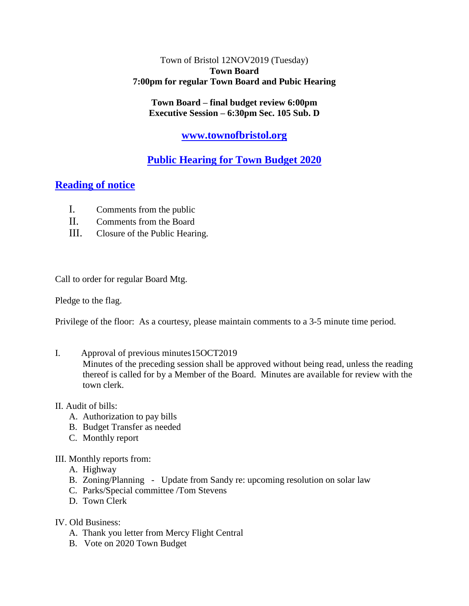## Town of Bristol 12NOV2019 (Tuesday) **Town Board 7:00pm for regular Town Board and Pubic Hearing**

**Town Board – final budget review 6:00pm Executive Session – 6:30pm Sec. 105 Sub. D**

# **[www.townofbristol.org](http://www.townofbristol.org/)**

# **Public Hearing for Town Budget 2020**

# **Reading of notice**

- I. Comments from the public
- II. Comments from the Board
- III. Closure of the Public Hearing.

Call to order for regular Board Mtg.

Pledge to the flag.

Privilege of the floor: As a courtesy, please maintain comments to a 3-5 minute time period.

I. Approval of previous minutes15OCT2019

Minutes of the preceding session shall be approved without being read, unless the reading thereof is called for by a Member of the Board. Minutes are available for review with the town clerk.

## II. Audit of bills:

- A. Authorization to pay bills
- B. Budget Transfer as needed
- C. Monthly report
- III. Monthly reports from:
	- A. Highway
	- B. Zoning/Planning Update from Sandy re: upcoming resolution on solar law
	- C. Parks/Special committee /Tom Stevens
	- D. Town Clerk
- IV. Old Business:
	- A. Thank you letter from Mercy Flight Central
	- B. Vote on 2020 Town Budget